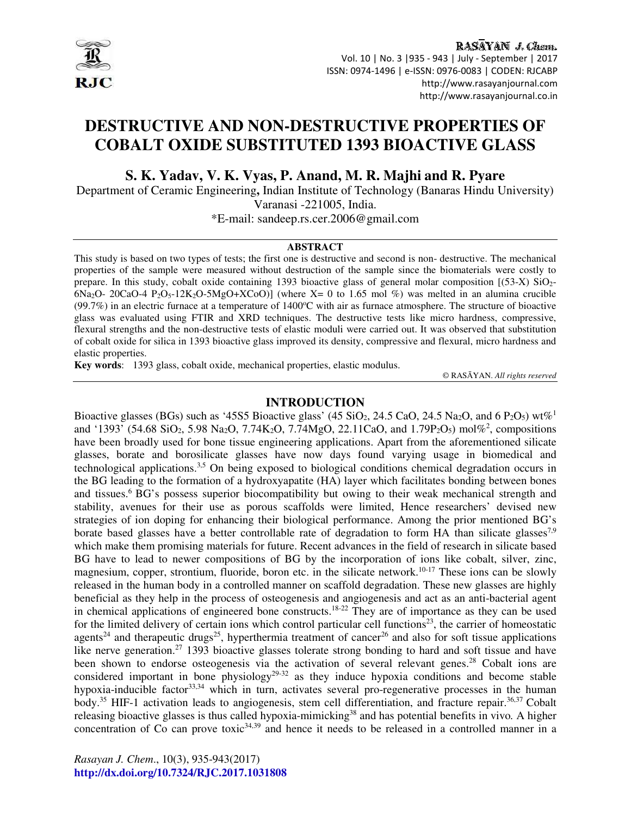

RASAYAN J. Chem. Vol. 10 | No. 3 |935 - 943 | July - September | 2017 ISSN: 0974-1496 | e-ISSN: 0976-0083 | CODEN: RJCABP http://www.rasayanjournal.com http://www.rasayanjournal.co.in

# **DESTRUCTIVE AND NON-DESTRUCTIVE PROPERTIES OF COBALT OXIDE SUBSTITUTED 1393 BIOACTIVE GLASS**

**S. K. Yadav, V. K. Vyas, P. Anand, M. R. Majhi and R. Pyare**

Department of Ceramic Engineering**,** Indian Institute of Technology (Banaras Hindu University) Varanasi -221005, India.

\*E-mail: sandeep.rs.cer.2006@gmail.com

#### **ABSTRACT**

This study is based on two types of tests; the first one is destructive and second is non- destructive. The mechanical properties of the sample were measured without destruction of the sample since the biomaterials were costly to prepare. In this study, cobalt oxide containing 1393 bioactive glass of general molar composition [(53-X) SiO2-  $6Na<sub>2</sub>O- 20CaO-4 P<sub>2</sub>O<sub>5</sub>-12K<sub>2</sub>O-5MgO+XCoO)$  (where X= 0 to 1.65 mol %) was melted in an alumina crucible  $(99.7%)$  in an electric furnace at a temperature of 1400°C with air as furnace atmosphere. The structure of bioactive glass was evaluated using FTIR and XRD techniques. The destructive tests like micro hardness, compressive, flexural strengths and the non-destructive tests of elastic moduli were carried out. It was observed that substitution of cobalt oxide for silica in 1393 bioactive glass improved its density, compressive and flexural, micro hardness and elastic properties.

**Key words**: 1393 glass, cobalt oxide, mechanical properties, elastic modulus.

© RASĀYAN. *All rights reserved*

### **INTRODUCTION**

Bioactive glasses (BGs) such as '45S5 Bioactive glass' (45 SiO<sub>2</sub>, 24.5 CaO, 24.5 Na<sub>2</sub>O, and 6 P<sub>2</sub>O<sub>5</sub>) wt%<sup>1</sup> and '1393' (54.68 SiO<sub>2</sub>, 5.98 Na<sub>2</sub>O, 7.74K<sub>2</sub>O, 7.74MgO, 22.11CaO, and 1.79P<sub>2</sub>O<sub>5</sub>) mol%<sup>2</sup>, compositions have been broadly used for bone tissue engineering applications. Apart from the aforementioned silicate glasses, borate and borosilicate glasses have now days found varying usage in biomedical and technological applications.<sup>3,5</sup> On being exposed to biological conditions chemical degradation occurs in the BG leading to the formation of a hydroxyapatite (HA) layer which facilitates bonding between bones and tissues.<sup>6</sup> BG's possess superior biocompatibility but owing to their weak mechanical strength and stability, avenues for their use as porous scaffolds were limited, Hence researchers' devised new strategies of ion doping for enhancing their biological performance. Among the prior mentioned BG's borate based glasses have a better controllable rate of degradation to form HA than silicate glasses<sup>7,9</sup> which make them promising materials for future. Recent advances in the field of research in silicate based BG have to lead to newer compositions of BG by the incorporation of ions like cobalt, silver, zinc, magnesium, copper, strontium, fluoride, boron etc. in the silicate network.<sup>10-17</sup> These ions can be slowly released in the human body in a controlled manner on scaffold degradation. These new glasses are highly beneficial as they help in the process of osteogenesis and angiogenesis and act as an anti-bacterial agent in chemical applications of engineered bone constructs.18-22 They are of importance as they can be used for the limited delivery of certain ions which control particular cell functions<sup>23</sup>, the carrier of homeostatic agents<sup>24</sup> and therapeutic drugs<sup>25</sup>, hyperthermia treatment of cancer<sup>26</sup> and also for soft tissue applications like nerve generation.<sup>27</sup> 1393 bioactive glasses tolerate strong bonding to hard and soft tissue and have been shown to endorse osteogenesis via the activation of several relevant genes.<sup>28</sup> Cobalt ions are considered important in bone physiology<sup>29-32</sup> as they induce hypoxia conditions and become stable hypoxia-inducible factor<sup>33,34</sup> which in turn, activates several pro-regenerative processes in the human body.<sup>35</sup> HIF-1 activation leads to angiogenesis, stem cell differentiation, and fracture repair.<sup>36,37</sup> Cobalt releasing bioactive glasses is thus called hypoxia-mimicking<sup>38</sup> and has potential benefits in vivo*.* A higher concentration of  $\overline{C}$  can prove toxic<sup>34,39</sup> and hence it needs to be released in a controlled manner in a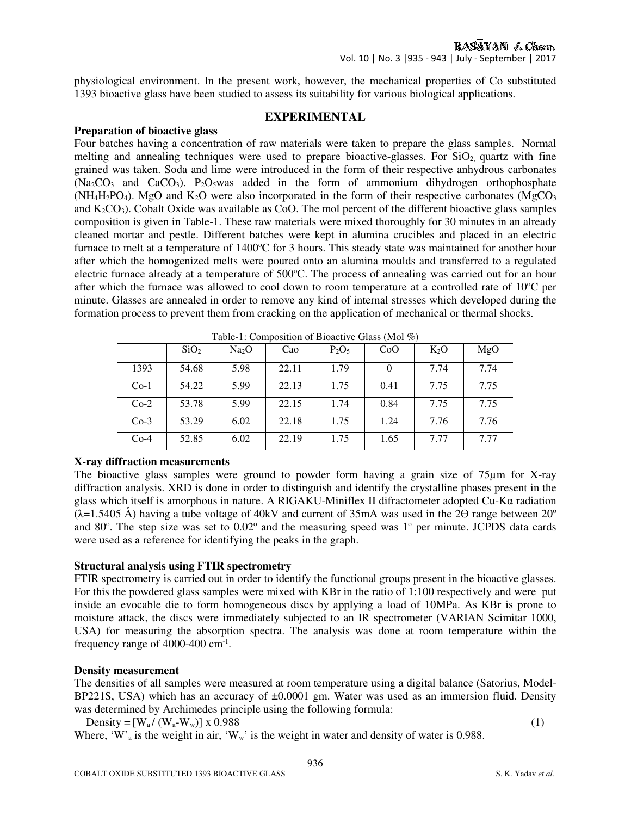physiological environment. In the present work, however, the mechanical properties of Co substituted 1393 bioactive glass have been studied to assess its suitability for various biological applications.

# **EXPERIMENTAL**

### **Preparation of bioactive glass**

Four batches having a concentration of raw materials were taken to prepare the glass samples. Normal melting and annealing techniques were used to prepare bioactive-glasses. For  $SiO<sub>2</sub>$  quartz with fine grained was taken. Soda and lime were introduced in the form of their respective anhydrous carbonates  $(Na_2CO_3$  and  $CaCO_3$ ). P<sub>2</sub>O<sub>5</sub>was added in the form of ammonium dihydrogen orthophosphate  $(NH_4H_2PO_4)$ . MgO and  $K_2O$  were also incorporated in the form of their respective carbonates (MgCO<sub>3</sub>) and  $K_2CO_3$ ). Cobalt Oxide was available as CoO. The mol percent of the different bioactive glass samples composition is given in Table-1. These raw materials were mixed thoroughly for 30 minutes in an already cleaned mortar and pestle. Different batches were kept in alumina crucibles and placed in an electric furnace to melt at a temperature of 1400°C for 3 hours. This steady state was maintained for another hour after which the homogenized melts were poured onto an alumina moulds and transferred to a regulated electric furnace already at a temperature of 500°C. The process of annealing was carried out for an hour after which the furnace was allowed to cool down to room temperature at a controlled rate of  $10^{\circ}$ C per minute. Glasses are annealed in order to remove any kind of internal stresses which developed during the formation process to prevent them from cracking on the application of mechanical or thermal shocks.

| $1$ able-1. Composition of Bioactive Grass (Mor $\%$ ) |                  |                   |       |          |      |        |      |
|--------------------------------------------------------|------------------|-------------------|-------|----------|------|--------|------|
|                                                        | SiO <sub>2</sub> | Na <sub>2</sub> O | Cao   | $P_2O_5$ | CoO  | $K_2O$ | MgO  |
| 1393                                                   | 54.68            | 5.98              | 22.11 | 1.79     | 0    | 7.74   | 7.74 |
| $Co-1$                                                 | 54.22            | 5.99              | 22.13 | 1.75     | 0.41 | 7.75   | 7.75 |
| $Co-2$                                                 | 53.78            | 5.99              | 22.15 | 1.74     | 0.84 | 7.75   | 7.75 |
| $Co-3$                                                 | 53.29            | 6.02              | 22.18 | 1.75     | 1.24 | 7.76   | 7.76 |
| $Co-4$                                                 | 52.85            | 6.02              | 22.19 | 1.75     | 1.65 | 7.77   | 7.77 |

Table-1: Composition of Bioactive Glass (Mol %)

# **X-ray diffraction measurements**

The bioactive glass samples were ground to powder form having a grain size of 75 $\mu$ m for X-ray diffraction analysis. XRD is done in order to distinguish and identify the crystalline phases present in the glass which itself is amorphous in nature. A RIGAKU-Miniflex II difractometer adopted Cu-Kα radiation  $(\lambda=1.5405 \text{ Å})$  having a tube voltage of 40kV and current of 35mA was used in the 2 $\Theta$  range between 20<sup>o</sup> and 80 $\degree$ . The step size was set to  $0.02\degree$  and the measuring speed was 1 $\degree$  per minute. JCPDS data cards were used as a reference for identifying the peaks in the graph.

# **Structural analysis using FTIR spectrometry**

FTIR spectrometry is carried out in order to identify the functional groups present in the bioactive glasses. For this the powdered glass samples were mixed with KBr in the ratio of 1:100 respectively and were put inside an evocable die to form homogeneous discs by applying a load of 10MPa. As KBr is prone to moisture attack, the discs were immediately subjected to an IR spectrometer (VARIAN Scimitar 1000, USA) for measuring the absorption spectra. The analysis was done at room temperature within the frequency range of 4000-400 cm<sup>-1</sup>.

#### **Density measurement**

The densities of all samples were measured at room temperature using a digital balance (Satorius, Model-BP221S, USA) which has an accuracy of  $\pm 0.0001$  gm. Water was used as an immersion fluid. Density was determined by Archimedes principle using the following formula:

Density =  $[W_a / (W_a-W_w)] \times 0.988$  (1)

Where, 'W'<sub>a</sub> is the weight in air, 'W<sub>w</sub>' is the weight in water and density of water is 0.988.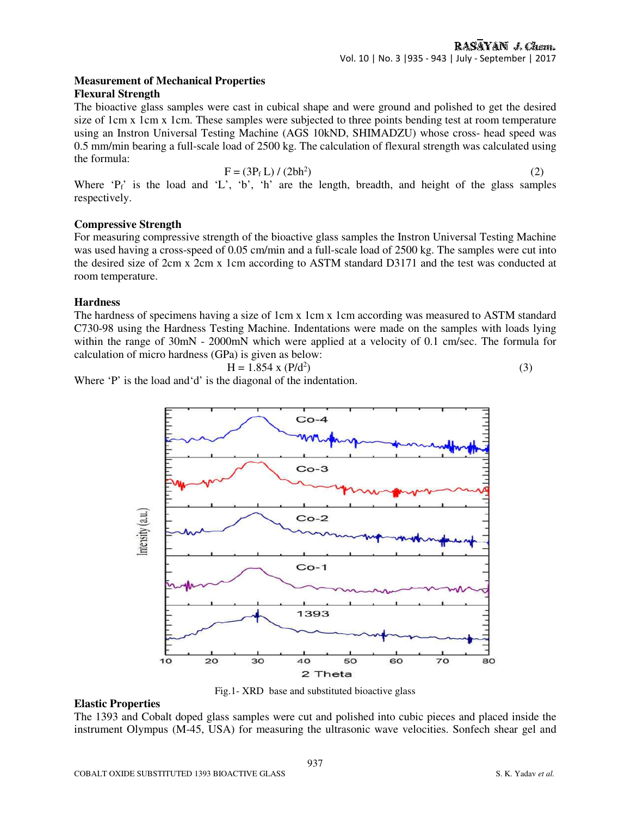#### **Measurement of Mechanical Properties Flexural Strength**

The bioactive glass samples were cast in cubical shape and were ground and polished to get the desired size of 1cm x 1cm x 1cm. These samples were subjected to three points bending test at room temperature using an Instron Universal Testing Machine (AGS 10kND, SHIMADZU) whose cross- head speed was 0.5 mm/min bearing a full-scale load of 2500 kg. The calculation of flexural strength was calculated using the formula:

$$
F = (3Pf L) / (2bh2)
$$
 (2)

Where  $P_f'$  is the load and 'L', 'b', 'h' are the length, breadth, and height of the glass samples respectively.

# **Compressive Strength**

For measuring compressive strength of the bioactive glass samples the Instron Universal Testing Machine was used having a cross-speed of 0.05 cm/min and a full-scale load of 2500 kg. The samples were cut into the desired size of 2cm x 2cm x 1cm according to ASTM standard D3171 and the test was conducted at room temperature.

# **Hardness**

The hardness of specimens having a size of 1cm x 1cm x 1cm according was measured to ASTM standard C730-98 using the Hardness Testing Machine. Indentations were made on the samples with loads lying within the range of 30mN - 2000mN which were applied at a velocity of 0.1 cm/sec. The formula for calculation of micro hardness (GPa) is given as below:

$$
H = 1.854 \times (P/d^2)
$$

 $)$  (3)

Where 'P' is the load and 'd' is the diagonal of the indentation.



Fig.1- XRD base and substituted bioactive glass

# **Elastic Properties**

The 1393 and Cobalt doped glass samples were cut and polished into cubic pieces and placed inside the instrument Olympus (M-45, USA) for measuring the ultrasonic wave velocities. Sonfech shear gel and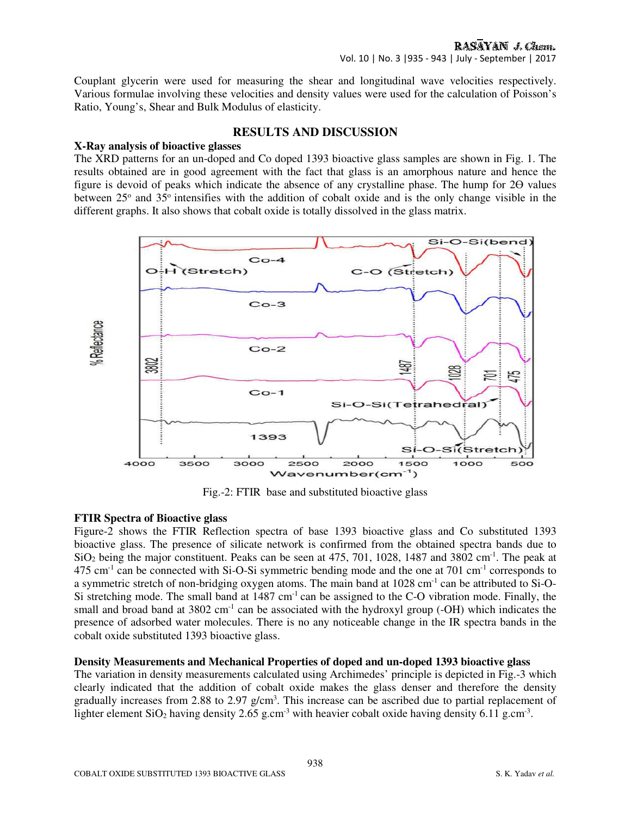Couplant glycerin were used for measuring the shear and longitudinal wave velocities respectively. Various formulae involving these velocities and density values were used for the calculation of Poisson's Ratio, Young's, Shear and Bulk Modulus of elasticity.

# **RESULTS AND DISCUSSION**

#### **X-Ray analysis of bioactive glasses**

The XRD patterns for an un-doped and Co doped 1393 bioactive glass samples are shown in Fig. 1. The results obtained are in good agreement with the fact that glass is an amorphous nature and hence the figure is devoid of peaks which indicate the absence of any crystalline phase. The hump for 2ϴ values between 25° and 35° intensifies with the addition of cobalt oxide and is the only change visible in the different graphs. It also shows that cobalt oxide is totally dissolved in the glass matrix.



Fig.-2: FTIR base and substituted bioactive glass

# **FTIR Spectra of Bioactive glass**

Figure-2 shows the FTIR Reflection spectra of base 1393 bioactive glass and Co substituted 1393 bioactive glass. The presence of silicate network is confirmed from the obtained spectra bands due to  $SiO<sub>2</sub>$  being the major constituent. Peaks can be seen at 475, 701, 1028, 1487 and 3802 cm<sup>-1</sup>. The peak at  $475 \text{ cm}^{-1}$  can be connected with Si-O-Si symmetric bending mode and the one at 701 cm<sup>-1</sup> corresponds to a symmetric stretch of non-bridging oxygen atoms. The main band at 1028 cm-1 can be attributed to Si-O-Si stretching mode. The small band at  $1487 \text{ cm}^{-1}$  can be assigned to the C-O vibration mode. Finally, the small and broad band at  $3802 \text{ cm}^{-1}$  can be associated with the hydroxyl group (-OH) which indicates the presence of adsorbed water molecules. There is no any noticeable change in the IR spectra bands in the cobalt oxide substituted 1393 bioactive glass.

#### **Density Measurements and Mechanical Properties of doped and un-doped 1393 bioactive glass**

The variation in density measurements calculated using Archimedes' principle is depicted in Fig.-3 which clearly indicated that the addition of cobalt oxide makes the glass denser and therefore the density gradually increases from 2.88 to 2.97  $g/cm<sup>3</sup>$ . This increase can be ascribed due to partial replacement of lighter element SiO<sub>2</sub> having density 2.65 g.cm<sup>-3</sup> with heavier cobalt oxide having density 6.11 g.cm<sup>-3</sup>.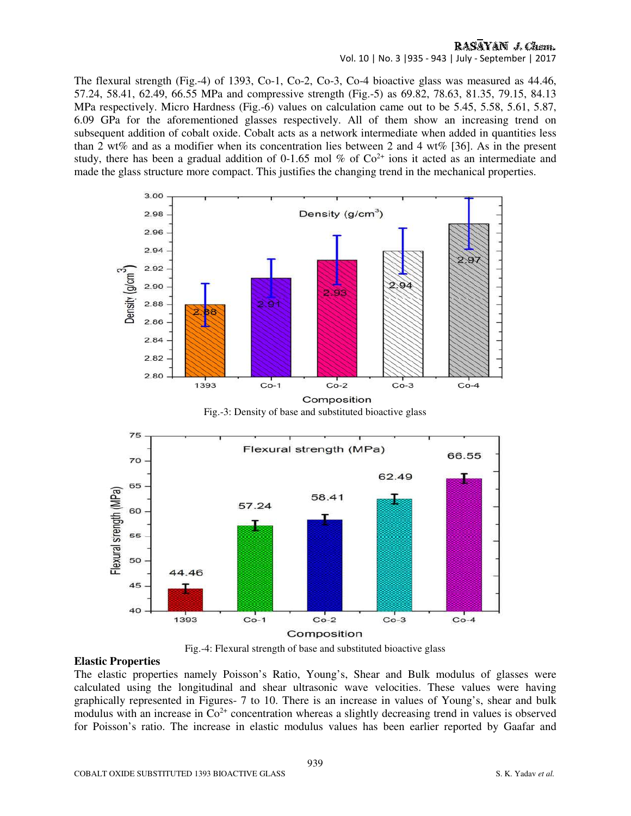# RASAYAN J. Chem.

Vol. 10 | No. 3 |935 - 943 | July - September | 2017

The flexural strength (Fig.-4) of 1393, Co-1, Co-2, Co-3, Co-4 bioactive glass was measured as 44.46, 57.24, 58.41, 62.49, 66.55 MPa and compressive strength (Fig.-5) as 69.82, 78.63, 81.35, 79.15, 84.13 MPa respectively. Micro Hardness (Fig.-6) values on calculation came out to be 5.45, 5.58, 5.61, 5.87, 6.09 GPa for the aforementioned glasses respectively. All of them show an increasing trend on subsequent addition of cobalt oxide. Cobalt acts as a network intermediate when added in quantities less than 2 wt% and as a modifier when its concentration lies between 2 and 4 wt% [36]. As in the present study, there has been a gradual addition of 0-1.65 mol % of  $Co<sup>2+</sup>$  ions it acted as an intermediate and made the glass structure more compact. This justifies the changing trend in the mechanical properties.



Fig.-3: Density of base and substituted bioactive glass



Fig.-4: Flexural strength of base and substituted bioactive glass

### **Elastic Properties**

The elastic properties namely Poisson's Ratio, Young's, Shear and Bulk modulus of glasses were calculated using the longitudinal and shear ultrasonic wave velocities. These values were having graphically represented in Figures- 7 to 10. There is an increase in values of Young's, shear and bulk modulus with an increase in  $Co<sup>2+</sup>$  concentration whereas a slightly decreasing trend in values is observed for Poisson's ratio. The increase in elastic modulus values has been earlier reported by Gaafar and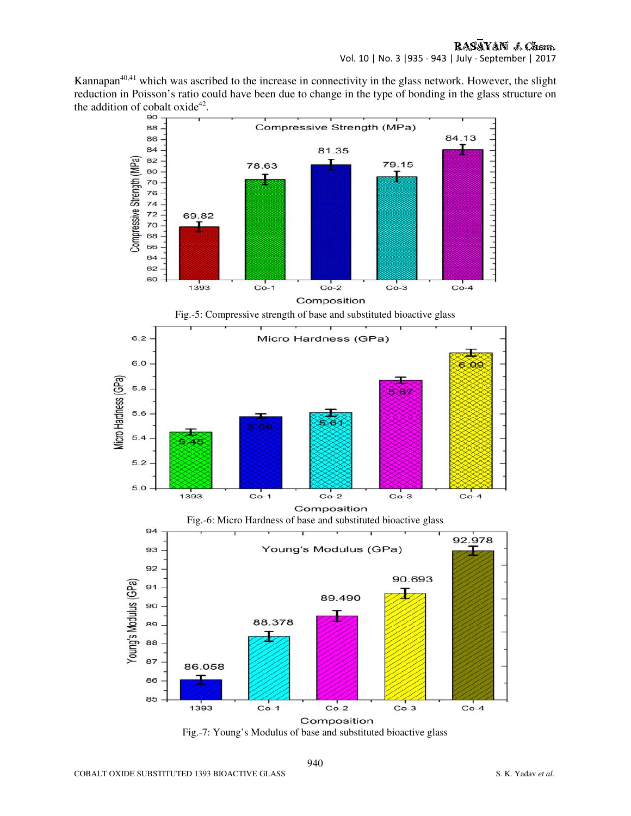Kannapan<sup>40,41</sup> which was ascribed to the increase in connectivity in the glass network. However, the slight reduction in Poisson's ratio could have been due to change in the type of bonding in the glass structure on the addition of cobalt oxide<sup>42</sup>.



Fig.-7: Young's Modulus of base and substituted bioactive glass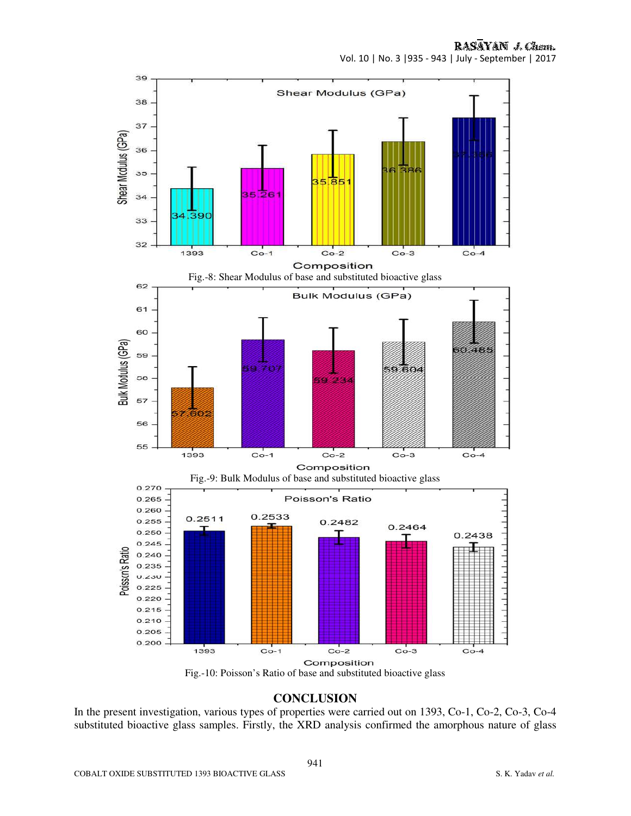

Fig.-10: Poisson's Ratio of base and substituted bioactive glass

# **CONCLUSION**

In the present investigation, various types of properties were carried out on 1393, Co-1, Co-2, Co-3, Co-4 substituted bioactive glass samples. Firstly, the XRD analysis confirmed the amorphous nature of glass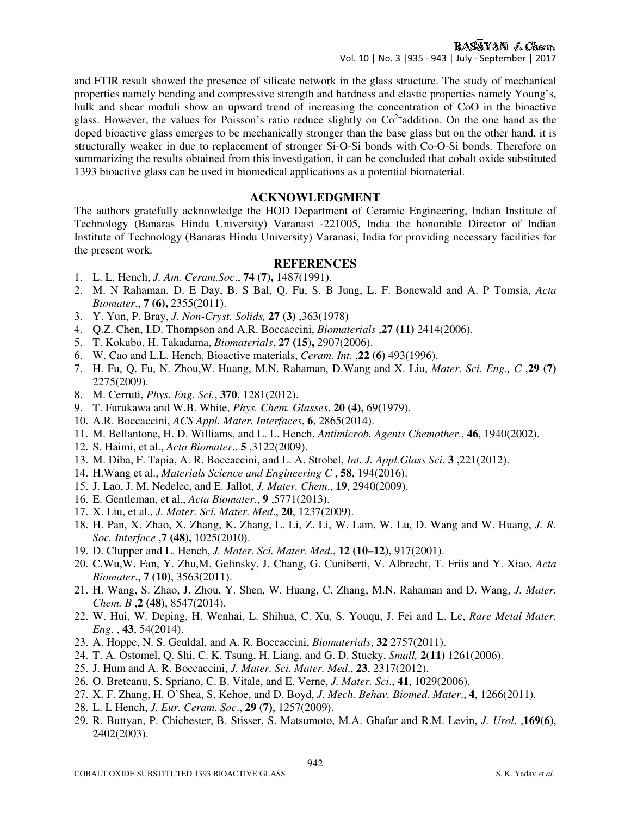# RASAYAN J. Chem.

Vol. 10 | No. 3 |935 - 943 | July - September | 2017

and FTIR result showed the presence of silicate network in the glass structure. The study of mechanical properties namely bending and compressive strength and hardness and elastic properties namely Young's, bulk and shear moduli show an upward trend of increasing the concentration of CoO in the bioactive glass. However, the values for Poisson's ratio reduce slightly on  $Co^{2+}$ addition. On the one hand as the doped bioactive glass emerges to be mechanically stronger than the base glass but on the other hand, it is structurally weaker in due to replacement of stronger Si-O-Si bonds with Co-O-Si bonds. Therefore on summarizing the results obtained from this investigation, it can be concluded that cobalt oxide substituted 1393 bioactive glass can be used in biomedical applications as a potential biomaterial.

# **ACKNOWLEDGMENT**

The authors gratefully acknowledge the HOD Department of Ceramic Engineering, Indian Institute of Technology (Banaras Hindu University) Varanasi -221005, India the honorable Director of Indian Institute of Technology (Banaras Hindu University) Varanasi, India for providing necessary facilities for the present work.

# **REFERENCES**

- 1. L. L. Hench, *J. Am. Ceram.Soc*., **74 (7),** 1487(1991).
- 2. M. N Rahaman. D. E Day, B. S Bal, Q. Fu, S. B Jung, L. F. Bonewald and A. P Tomsia, *Acta Biomater*., **7 (6),** 2355(2011).
- 3. Y. Yun, P. Bray, *J. Non-Cryst. Solids,* **27 (3)** ,363(1978)
- 4. Q.Z. Chen, I.D. Thompson and A.R. Boccaccini, *Biomaterials* ,**27 (11)** 2414(2006).
- 5. T. Kokubo, H. Takadama, *Biomaterials*, **27 (15),** 2907(2006).
- 6. W. Cao and L.L. Hench, Bioactive materials, *Ceram. Int*. ,**22 (6)** 493(1996).
- 7. H. Fu, Q. Fu, N. Zhou,W. Huang, M.N. Rahaman, D.Wang and X. Liu, *Mater. Sci. Eng., C* ,**29 (7)** 2275(2009).
- 8. M. Cerruti, *Phys. Eng. Sci.*, **370**, 1281(2012).
- 9. T. Furukawa and W.B. White, *Phys. Chem. Glasses*, **20 (4),** 69(1979).
- 10. A.R. Boccaccini, *ACS Appl. Mater. Interfaces*, **6**, 2865(2014).
- 11. M. Bellantone, H. D. Williams, and L. L. Hench, *Antimicrob. Agents Chemother*., **46**, 1940(2002).
- 12. S. Haimi, et al., *Acta Biomater*., **5** ,3122(2009).
- 13. M. Diba, F. Tapia, A. R. Boccaccini, and L. A. Strobel, *Int. J. Appl.Glass Sci*, **3** ,221(2012).
- 14. H.Wang et al., *Materials Science and Engineering C* , **58**, 194(2016).
- 15. J. Lao, J. M. Nedelec, and E. Jallot, *J. Mater. Chem*., **19**, 2940(2009).
- 16. E. Gentleman, et al., *Acta Biomater*., **9** ,5771(2013).
- 17. X. Liu, et al., *J. Mater. Sci. Mater. Med*., **20**, 1237(2009).
- 18. H. Pan, X. Zhao, X. Zhang, K. Zhang, L. Li, Z. Li, W. Lam, W. Lu, D. Wang and W. Huang, *J. R. Soc. Interface* ,**7 (48),** 1025(2010).
- 19. D. Clupper and L. Hench, *J. Mater. Sci. Mater. Med*., **12 (10–12)**, 917(2001).
- 20. C.Wu,W. Fan, Y. Zhu,M. Gelinsky, J. Chang, G. Cuniberti, V. Albrecht, T. Friis and Y. Xiao, *Acta Biomater*., **7 (10)**, 3563(2011).
- 21. H. Wang, S. Zhao, J. Zhou, Y. Shen, W. Huang, C. Zhang, M.N. Rahaman and D. Wang, *J. Mater. Chem. B* ,**2 (48)**, 8547(2014).
- 22. W. Hui, W. Deping, H. Wenhai, L. Shihua, C. Xu, S. Youqu, J. Fei and L. Le, *Rare Metal Mater. Eng*. , **43**, 54(2014).
- 23. A. Hoppe, N. S. Geuldal, and A. R. Boccaccini, *Biomaterials*, **32** 2757(2011).
- 24. T. A. Ostomel, Q. Shi, C. K. Tsung, H. Liang, and G. D. Stucky, *Small,* **2(11)** 1261(2006).
- 25. J. Hum and A. R. Boccaccini, *J. Mater. Sci. Mater. Med*., **23**, 2317(2012).
- 26. O. Bretcanu, S. Spriano, C. B. Vitale, and E. Verne, *J. Mater. Sci*., **41**, 1029(2006).
- 27. X. F. Zhang, H. O'Shea, S. Kehoe, and D. Boyd, *J. Mech. Behav. Biomed. Mater*., **4**, 1266(2011).
- 28. L. L Hench, *J. Eur. Ceram. Soc*., **29 (7)**, 1257(2009).
- 29. R. Buttyan, P. Chichester, B. Stisser, S. Matsumoto, M.A. Ghafar and R.M. Levin, *J. Urol*. ,**169(6)**, 2402(2003).